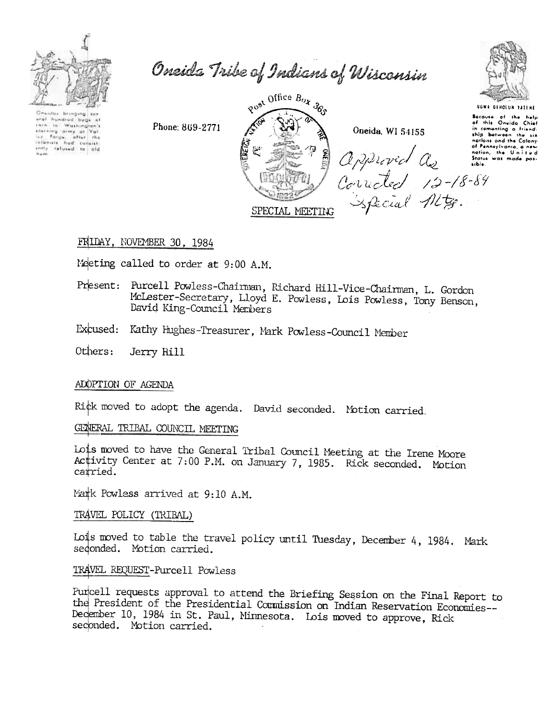

Oneida Tribe of Indians of Wisconsin

dus bringing subori ... ural hundred bugs at Washington's the to waterproof<br>The forge, after the<br>Follomers had consist senty refused to ald

Phone: 869-2771



## FRIDAY, NOVEMBER 30, 1984

Meeting called to order at 9:00 A.M.

- Present: Purcell Powless-Chaiman, Richard Hill-Vice-Chairman, L. Gordon McLester-Secretary, Lloyd E. Powless, Lois Powless, Tony Benson, David King-Council Members
- Excused: Kathy Hughes-Treasurer, Mark Powless-Council Member

Others: Jerry Hill

#### ADOPTION OF AGENDA

Rick moved to adopt the agenda. David seconded. Motion carried.

#### GENERAL TRIBAL COUNCIL MEETING

Lois moved to have the General Tribal Council Meeting at the Irene Moore Activity Center at 7:00 P.M. on January 7, 1985. Rick seconded. Motion carried.

Mark Powless arrived at 9:10 A.M.

#### TRAVEL POLICY (TRIBAL)

Lois moved to table the travel policy until Tuesday, December 4, 1984. Mark sedonded. Motion carried.

#### TRAVEL REQUEST-Purcell Powless

Purcell requests approval to attend the Briefing Session on the Final Report to the President of the Presidential Commission on Indian Reservation Economies--December 10, 1984 in St. Paul, Minnesota. Lois moved to approve, Rick seconded. Motion carried.

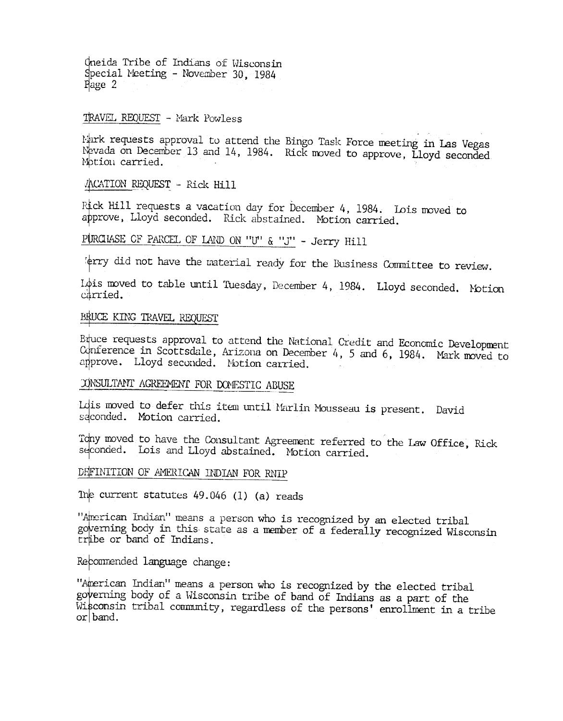Oneida Tribe of Indians of Wisconsin Special Meeting - November 30, 1984 Page 2

## TRAVEL REQUEST - Mark Powless

Mark requests approval to attend the Bingo Task Force meeting in Las Vegas Nevada on December 13 and 14, 1984. Rick moved to approve, Lloyd seconded Motion carried.

**/ACATION REQUEST - Rick Hill** 

Rick Hill requests a vacation day for December 4, 1984. Lois moved to approve, Lloyd seconded. Rick abstained. Motion carried.

# PURCHASE OF PARCEL OF LAND ON "U" & "J" - Jerry Hill

terry did not have the material ready for the Business Committee to review.

Idis moved to table until Tuesday, December 4, 1984. Lloyd seconded. Motion carried.

## BRUCE KING TRAVEL REQUEST

Biuce requests approval to attend the National Credit and Economic Development Conference in Scottsdale, Arizona on December 4, 5 and 6, 1984. Mark moved to approve. Lloyd seconded. Notion carried.

# CONSULTANT AGREEMENT FOR DOMESTIC ABUSE

Idis moved to defer this item until Marlin Mousseau is present. David seconded. Motion carried.

Tony moved to have the Consultant Agreement referred to the Law Office, Rick seconded. Lois and Lloyd abstained. Motion carried.

# DFFINITION OF AMERICAN INDIAN FOR RNIP

The current statutes  $49.046$  (1) (a) reads

"American Indian" means a person who is recognized by an elected tribal governing body in this state as a member of a federally recognized Wisconsin tribe or band of Indians.

### Recommended language change:

"American Indian" means a person who is recognized by the elected tribal governing body of a Wisconsin tribe of band of Indians as a part of the Wisconsin tribal community, regardless of the persons' enrollment in a tribe  $\alpha$  band.